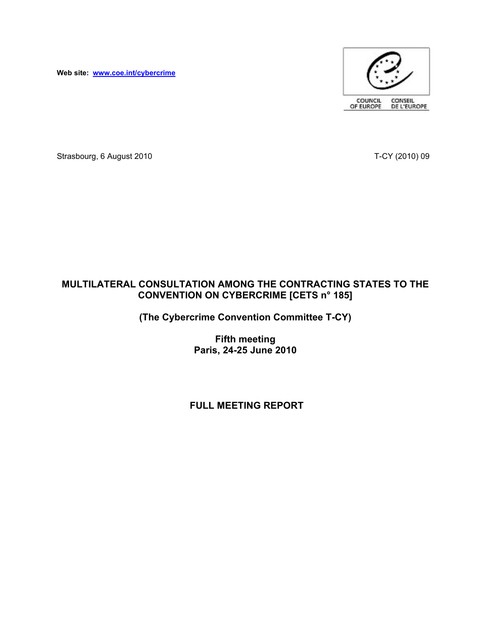**Web site: www.coe.int/cybercrime**



Strasbourg, 6 August 2010 **T-CY** (2010) 09

# **MULTILATERAL CONSULTATION AMONG THE CONTRACTING STATES TO THE CONVENTION ON CYBERCRIME [CETS n° 185]**

**(The Cybercrime Convention Committee T-CY)**

**Fifth meeting Paris, 24-25 June 2010**

# **FULL MEETING REPORT**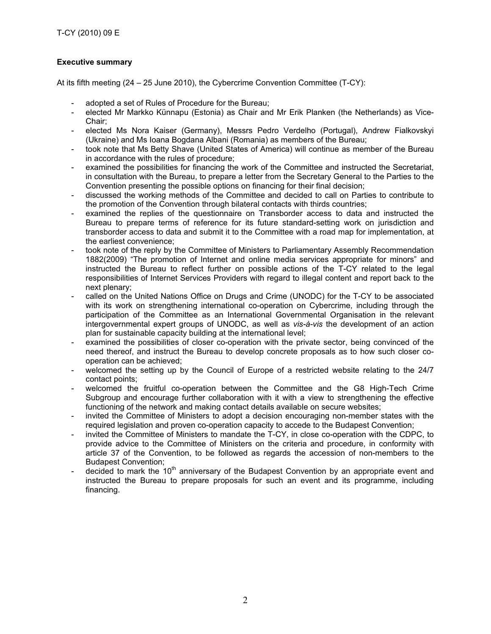## **Executive summary**

At its fifth meeting (24 – 25 June 2010), the Cybercrime Convention Committee (T-CY):

- adopted a set of Rules of Procedure for the Bureau;
- elected Mr Markko Künnapu (Estonia) as Chair and Mr Erik Planken (the Netherlands) as Vice-Chair;
- elected Ms Nora Kaiser (Germany), Messrs Pedro Verdelho (Portugal), Andrew Fialkovskyi (Ukraine) and Ms Ioana Bogdana Albani (Romania) as members of the Bureau;
- took note that Ms Betty Shave (United States of America) will continue as member of the Bureau in accordance with the rules of procedure;
- examined the possibilities for financing the work of the Committee and instructed the Secretariat, in consultation with the Bureau, to prepare a letter from the Secretary General to the Parties to the Convention presenting the possible options on financing for their final decision;
- discussed the working methods of the Committee and decided to call on Parties to contribute to the promotion of the Convention through bilateral contacts with thirds countries;
- examined the replies of the questionnaire on Transborder access to data and instructed the Bureau to prepare terms of reference for its future standard-setting work on jurisdiction and transborder access to data and submit it to the Committee with a road map for implementation, at the earliest convenience;
- took note of the reply by the Committee of Ministers to Parliamentary Assembly Recommendation 1882(2009) "The promotion of Internet and online media services appropriate for minors" and instructed the Bureau to reflect further on possible actions of the T-CY related to the legal responsibilities of Internet Services Providers with regard to illegal content and report back to the next plenary;
- called on the United Nations Office on Drugs and Crime (UNODC) for the T-CY to be associated with its work on strengthening international co-operation on Cybercrime, including through the participation of the Committee as an International Governmental Organisation in the relevant intergovernmental expert groups of UNODC, as well as *vis-à-vis* the development of an action plan for sustainable capacity building at the international level;
- examined the possibilities of closer co-operation with the private sector, being convinced of the need thereof, and instruct the Bureau to develop concrete proposals as to how such closer cooperation can be achieved;
- welcomed the setting up by the Council of Europe of a restricted website relating to the 24/7 contact points;
- welcomed the fruitful co-operation between the Committee and the G8 High-Tech Crime Subgroup and encourage further collaboration with it with a view to strengthening the effective functioning of the network and making contact details available on secure websites;
- invited the Committee of Ministers to adopt a decision encouraging non-member states with the required legislation and proven co-operation capacity to accede to the Budapest Convention;
- invited the Committee of Ministers to mandate the T-CY, in close co-operation with the CDPC, to provide advice to the Committee of Ministers on the criteria and procedure, in conformity with article 37 of the Convention, to be followed as regards the accession of non-members to the Budapest Convention;
- decided to mark the 10<sup>th</sup> anniversary of the Budapest Convention by an appropriate event and instructed the Bureau to prepare proposals for such an event and its programme, including financing.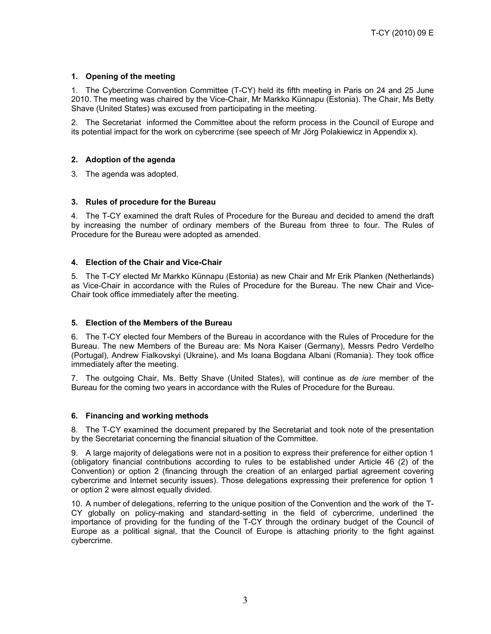## **1. Opening of the meeting**

1. The Cybercrime Convention Committee (T-CY) held its fifth meeting in Paris on 24 and 25 June 2010. The meeting was chaired by the Vice-Chair, Mr Markko Künnapu (Estonia). The Chair, Ms Betty Shave (United States) was excused from participating in the meeting.

2. The Secretariat informed the Committee about the reform process in the Council of Europe and its potential impact for the work on cybercrime (see speech of Mr Jörg Polakiewicz in Appendix x).

## **2. Adoption of the agenda**

3. The agenda was adopted.

## **3. Rules of procedure for the Bureau**

4. The T-CY examined the draft Rules of Procedure for the Bureau and decided to amend the draft by increasing the number of ordinary members of the Bureau from three to four. The Rules of Procedure for the Bureau were adopted as amended.

## **4. Election of the Chair and Vice-Chair**

5. The T-CY elected Mr Markko Künnapu (Estonia) as new Chair and Mr Erik Planken (Netherlands) as Vice-Chair in accordance with the Rules of Procedure for the Bureau. The new Chair and Vice-Chair took office immediately after the meeting.

### **5. Election of the Members of the Bureau**

6. The T-CY elected four Members of the Bureau in accordance with the Rules of Procedure for the Bureau. The new Members of the Bureau are: Ms Nora Kaiser (Germany), Messrs Pedro Verdelho (Portugal), Andrew Fialkovskyi (Ukraine), and Ms Ioana Bogdana Albani (Romania). They took office immediately after the meeting.

7. The outgoing Chair, Ms. Betty Shave (United States), will continue as *de iure* member of the Bureau for the coming two years in accordance with the Rules of Procedure for the Bureau.

### **6. Financing and working methods**

8. The T-CY examined the document prepared by the Secretariat and took note of the presentation by the Secretariat concerning the financial situation of the Committee.

9. A large majority of delegations were not in a position to express their preference for either option 1 (obligatory financial contributions according to rules to be established under Article 46 (2) of the Convention) or option 2 (financing through the creation of an enlarged partial agreement covering cybercrime and Internet security issues). Those delegations expressing their preference for option 1 or option 2 were almost equally divided.

10. A number of delegations, referring to the unique position of the Convention and the work of the T- CY globally on policy-making and standard-setting in the field of cybercrime, underlined the importance of providing for the funding of the T-CY through the ordinary budget of the Council of Europe as a political signal, that the Council of Europe is attaching priority to the fight against cybercrime.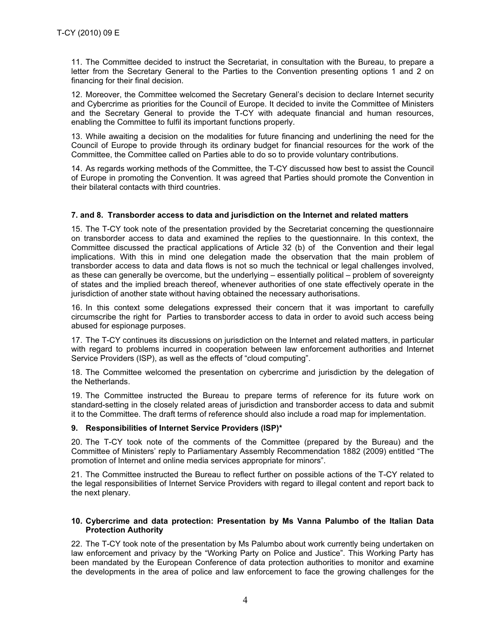11. The Committee decided to instruct the Secretariat, in consultation with the Bureau, to prepare a letter from the Secretary General to the Parties to the Convention presenting options 1 and 2 on financing for their final decision.

12. Moreover, the Committee welcomed the Secretary General's decision to declare Internet security and Cybercrime as priorities for the Council of Europe. It decided to invite the Committee of Ministers and the Secretary General to provide the T-CY with adequate financial and human resources, enabling the Committee to fulfil its important functions properly.

13. While awaiting a decision on the modalities for future financing and underlining the need for the Council of Europe to provide through its ordinary budget for financial resources for the work of the Committee, the Committee called on Parties able to do so to provide voluntary contributions.

14. As regards working methods of the Committee, the T-CY discussed how best to assist the Council of Europe in promoting the Convention. It was agreed that Parties should promote the Convention in their bilateral contacts with third countries.

### **7. and 8. Transborder access to data and jurisdiction on the Internet and related matters**

15. The T-CY took note of the presentation provided by the Secretariat concerning the questionnaire on transborder access to data and examined the replies to the questionnaire. In this context, the Committee discussed the practical applications of Article 32 (b) of the Convention and their legal implications. With this in mind one delegation made the observation that the main problem of transborder access to data and data flows is not so much the technical or legal challenges involved, as these can generally be overcome, but the underlying – essentially political – problem of sovereignty of states and the implied breach thereof, whenever authorities of one state effectively operate in the jurisdiction of another state without having obtained the necessary authorisations.

16. In this context some delegations expressed their concern that it was important to carefully circumscribe the right for Parties to transborder access to data in order to avoid such access being abused for espionage purposes.

17. The T-CY continues its discussions on jurisdiction on the Internet and related matters, in particular with regard to problems incurred in cooperation between law enforcement authorities and Internet Service Providers (ISP), as well as the effects of "cloud computing".

18. The Committee welcomed the presentation on cybercrime and jurisdiction by the delegation of the Netherlands.

19. The Committee instructed the Bureau to prepare terms of reference for its future work on standard-setting in the closely related areas of jurisdiction and transborder access to data and submit it to the Committee. The draft terms of reference should also include a road map for implementation.

### **9. Responsibilities of Internet Service Providers (ISP)\***

20. The T-CY took note of the comments of the Committee (prepared by the Bureau) and the Committee of Ministers' reply to Parliamentary Assembly Recommendation 1882 (2009) entitled "The promotion of Internet and online media services appropriate for minors".

21. The Committee instructed the Bureau to reflect further on possible actions of the T-CY related to the legal responsibilities of Internet Service Providers with regard to illegal content and report back to the next plenary.

## **10. Cybercrime and data protection: Presentation by Ms Vanna Palumbo of the Italian Data Protection Authority**

22. The T-CY took note of the presentation by Ms Palumbo about work currently being undertaken on law enforcement and privacy by the "Working Party on Police and Justice". This Working Party has been mandated by the European Conference of data protection authorities to monitor and examine the developments in the area of police and law enforcement to face the growing challenges for the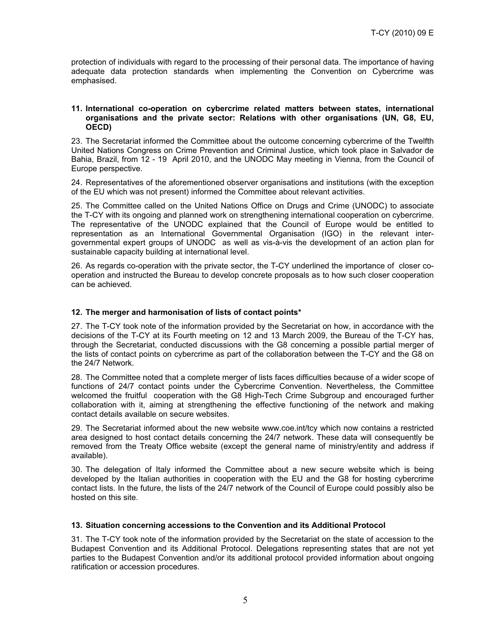protection of individuals with regard to the processing of their personal data. The importance of having adequate data protection standards when implementing the Convention on Cybercrime was emphasised.

## **11. International co-operation on cybercrime related matters between states, international organisations and the private sector: Relations with other organisations (UN, G8, EU, OECD)**

23. The Secretariat informed the Committee about the outcome concerning cybercrime of the Twelfth United Nations Congress on Crime Prevention and Criminal Justice, which took place in Salvador de Bahia, Brazil, from 12 - 19 April 2010, and the UNODC May meeting in Vienna, from the Council of Europe perspective.

24. Representatives of the aforementioned observer organisations and institutions (with the exception of the EU which was not present) informed the Committee about relevant activities.

25. The Committee called on the United Nations Office on Drugs and Crime (UNODC) to associate the T-CY with its ongoing and planned work on strengthening international cooperation on cybercrime. The representative of the UNODC explained that the Council of Europe would be entitled to representation as an International Governmental Organisation (IGO) in the relevant inter governmental expert groups of UNODC as well as vis-à-vis the development of an action plan for sustainable capacity building at international level.

26. As regards co-operation with the private sector, the T-CY underlined the importance of closer cooperation and instructed the Bureau to develop concrete proposals as to how such closer cooperation can be achieved.

## **12. The merger and harmonisation of lists of contact points\***

27. The T-CY took note of the information provided by the Secretariat on how, in accordance with the decisions of the T-CY at its Fourth meeting on 12 and 13 March 2009, the Bureau of the T-CY has, through the Secretariat, conducted discussions with the G8 concerning a possible partial merger of the lists of contact points on cybercrime as part of the collaboration between the T-CY and the G8 on the 24/7 Network.

28. The Committee noted that a complete merger of lists faces difficulties because of a wider scope of functions of 24/7 contact points under the Cybercrime Convention. Nevertheless, the Committee welcomed the fruitful cooperation with the G8 High-Tech Crime Subgroup and encouraged further collaboration with it, aiming at strengthening the effective functioning of the network and making contact details available on secure websites.

29. The Secretariat informed about the new website www.coe.int/tcy which now contains a restricted area designed to host contact details concerning the 24/7 network. These data will consequently be removed from the Treaty Office website (except the general name of ministry/entity and address if available).

30. The delegation of Italy informed the Committee about a new secure website which is being developed by the Italian authorities in cooperation with the EU and the G8 for hosting cybercrime contact lists. In the future, the lists of the 24/7 network of the Council of Europe could possibly also be hosted on this site.

### **13. Situation concerning accessions to the Convention and its Additional Protocol**

31. The T-CY took note of the information provided by the Secretariat on the state of accession to the Budapest Convention and its Additional Protocol. Delegations representing states that are not yet parties to the Budapest Convention and/or its additional protocol provided information about ongoing ratification or accession procedures.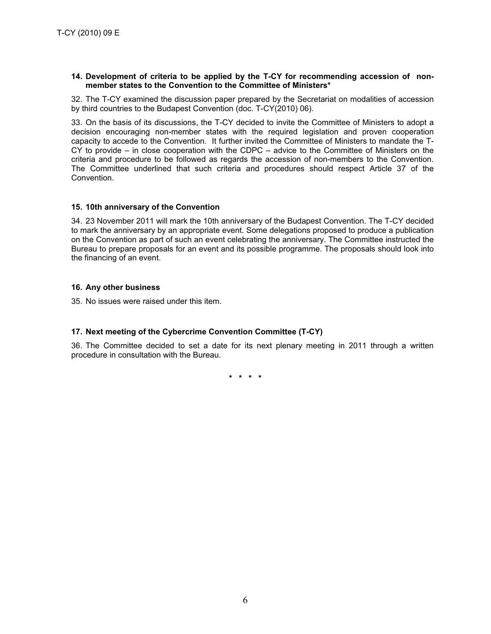### **14. Development of criteria to be applied by the T-CY for recommending accession of non member states to the Convention to the Committee of Ministers\***

32. The T-CY examined the discussion paper prepared by the Secretariat on modalities of accession by third countries to the Budapest Convention (doc. T-CY(2010) 06).

33. On the basis of its discussions, the T-CY decided to invite the Committee of Ministers to adopt a decision encouraging non-member states with the required legislation and proven cooperation capacity to accede to the Convention. It further invited the Committee of Ministers to mandate the T- CY to provide – in close cooperation with the CDPC – advice to the Committee of Ministers on the criteria and procedure to be followed as regards the accession of non-members to the Convention. The Committee underlined that such criteria and procedures should respect Article 37 of the Convention.

## **15. 10th anniversary of the Convention**

34. 23 November 2011 will mark the 10th anniversary of the Budapest Convention. The T-CY decided to mark the anniversary by an appropriate event. Some delegations proposed to produce a publication on the Convention as part of such an event celebrating the anniversary. The Committee instructed the Bureau to prepare proposals for an event and its possible programme. The proposals should look into the financing of an event.

## **16. Any other business**

35. No issues were raised under this item.

## **17. Next meeting of the Cybercrime Convention Committee (T-CY)**

36. The Committee decided to set a date for its next plenary meeting in 2011 through a written procedure in consultation with the Bureau.

**\* \* \* \***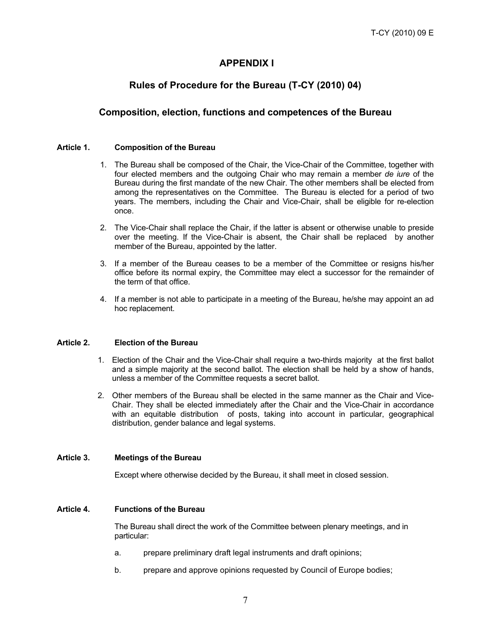# **APPENDIX I**

# **Rules of Procedure for the Bureau (T-CY (2010) 04)**

## **Composition, election, functions and competences of the Bureau**

## **Article 1. Composition of the Bureau**

- 1. The Bureau shall be composed of the Chair, the Vice-Chair of the Committee, together with four elected members and the outgoing Chair who may remain a member *de iure* of the Bureau during the first mandate of the new Chair. The other members shall be elected from among the representatives on the Committee. The Bureau is elected for a period of two years. The members, including the Chair and Vice-Chair, shall be eligible for re-election once.
- 2. The Vice-Chair shall replace the Chair, if the latter is absent or otherwise unable to preside over the meeting. If the Vice-Chair is absent, the Chair shall be replaced by another member of the Bureau, appointed by the latter.
- 3. If a member of the Bureau ceases to be a member of the Committee or resigns his/her office before its normal expiry, the Committee may elect a successor for the remainder of the term of that office.
- 4. If a member is not able to participate in a meeting of the Bureau, he/she may appoint an ad hoc replacement.

## **Article 2. Election of the Bureau**

- 1. Election of the Chair and the Vice-Chair shall require a two-thirds majority at the first ballot and a simple majority at the second ballot. The election shall be held by a show of hands, unless a member of the Committee requests a secret ballot.
- 2. Other members of the Bureau shall be elected in the same manner as the Chair and Vice-Chair. They shall be elected immediately after the Chair and the Vice-Chair in accordance with an equitable distribution of posts, taking into account in particular, geographical distribution, gender balance and legal systems.

## **Article 3. Meetings of the Bureau**

Except where otherwise decided by the Bureau, it shall meet in closed session.

### **Article 4. Functions of the Bureau**

The Bureau shall direct the work of the Committee between plenary meetings, and in particular:

- a. prepare preliminary draft legal instruments and draft opinions;
- b. prepare and approve opinions requested by Council of Europe bodies;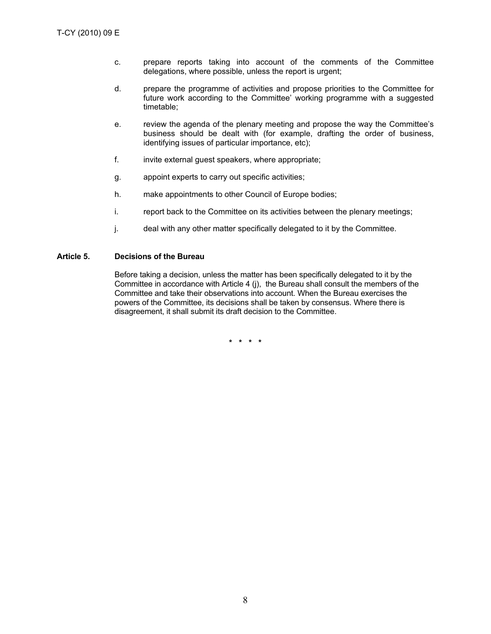- c. prepare reports taking into account of the comments of the Committee delegations, where possible, unless the report is urgent;
- d. prepare the programme of activities and propose priorities to the Committee for future work according to the Committee' working programme with a suggested timetable;
- e. review the agenda of the plenary meeting and propose the way the Committee's business should be dealt with (for example, drafting the order of business, identifying issues of particular importance, etc);
- f. invite external guest speakers, where appropriate;
- g. appoint experts to carry out specific activities;
- h. make appointments to other Council of Europe bodies;
- i. report back to the Committee on its activities between the plenary meetings;
- j. deal with any other matter specifically delegated to it by the Committee.

## **Article 5. Decisions of the Bureau**

Before taking a decision, unless the matter has been specifically delegated to it by the Committee in accordance with Article 4 (j), the Bureau shall consult the members of the Committee and take their observations into account. When the Bureau exercises the powers of the Committee, its decisions shall be taken by consensus. Where there is disagreement, it shall submit its draft decision to the Committee.

**\* \* \* \***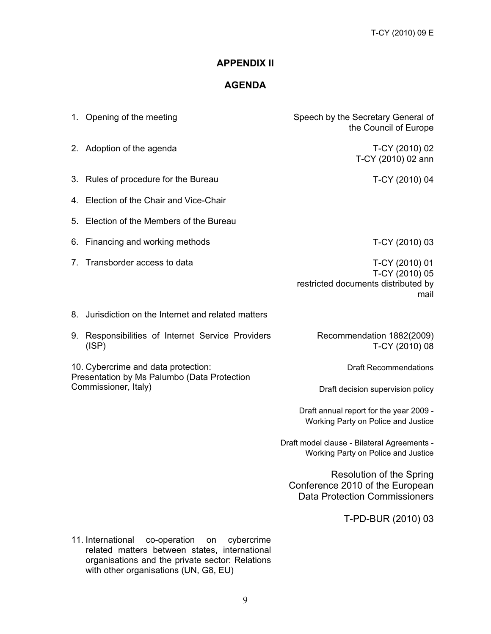# **APPENDIX II**

# **AGENDA**

|                                                                                                            | 1. Opening of the meeting                               | Speech by the Secretary General of<br>the Council of Europe                                                |
|------------------------------------------------------------------------------------------------------------|---------------------------------------------------------|------------------------------------------------------------------------------------------------------------|
|                                                                                                            | 2. Adoption of the agenda                               | T-CY (2010) 02<br>T-CY (2010) 02 ann                                                                       |
|                                                                                                            | 3. Rules of procedure for the Bureau                    | T-CY (2010) 04                                                                                             |
|                                                                                                            | 4. Election of the Chair and Vice-Chair                 |                                                                                                            |
|                                                                                                            | 5. Election of the Members of the Bureau                |                                                                                                            |
|                                                                                                            | 6. Financing and working methods                        | T-CY (2010) 03                                                                                             |
| 7.                                                                                                         | Transborder access to data                              | T-CY (2010) 01<br>T-CY (2010) 05<br>restricted documents distributed by<br>mail                            |
| 8.                                                                                                         | Jurisdiction on the Internet and related matters        |                                                                                                            |
| 9.                                                                                                         | Responsibilities of Internet Service Providers<br>(ISP) | Recommendation 1882(2009)<br>T-CY (2010) 08                                                                |
| 10. Cybercrime and data protection:<br>Presentation by Ms Palumbo (Data Protection<br>Commissioner, Italy) |                                                         | <b>Draft Recommendations</b>                                                                               |
|                                                                                                            |                                                         | Draft decision supervision policy                                                                          |
|                                                                                                            |                                                         | Draft annual report for the year 2009 -<br>Working Party on Police and Justice                             |
|                                                                                                            |                                                         | Draft model clause - Bilateral Agreements -<br>Working Party on Police and Justice                         |
|                                                                                                            |                                                         | <b>Resolution of the Spring</b><br>Conference 2010 of the European<br><b>Data Protection Commissioners</b> |
|                                                                                                            |                                                         | T-PD-BUR (2010) 03                                                                                         |

11. International co-operation on cybercrime related matters between states, international organisations and the private sector: Relations with other organisations (UN, G8, EU)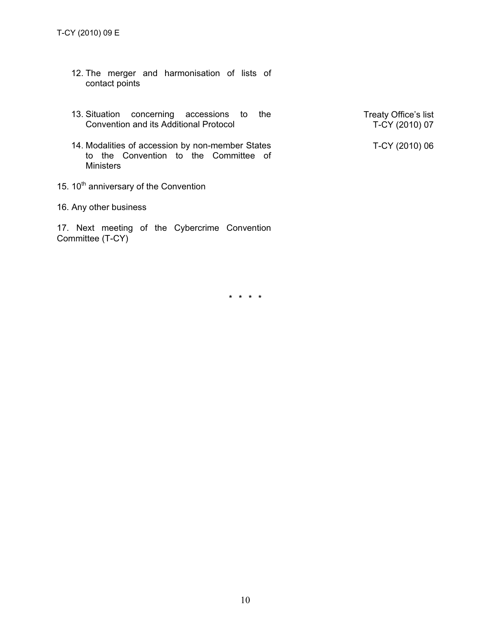- 12. The merger and harmonisation of lists of contact points
- 13. Situation concerning accessions to the Treaty Office's list<br>Convention and its Additional Protocol T-CY (2010) 07
- 14. Modalities of accession by non-member States to the Convention to the Committee of **Ministers**
- 15.  $10^{th}$  anniversary of the Convention
- 16. Any other business

17. Next meeting of the Cybercrime Convention Committee (T-CY)

T-CY (2010) 06

**\* \* \* \***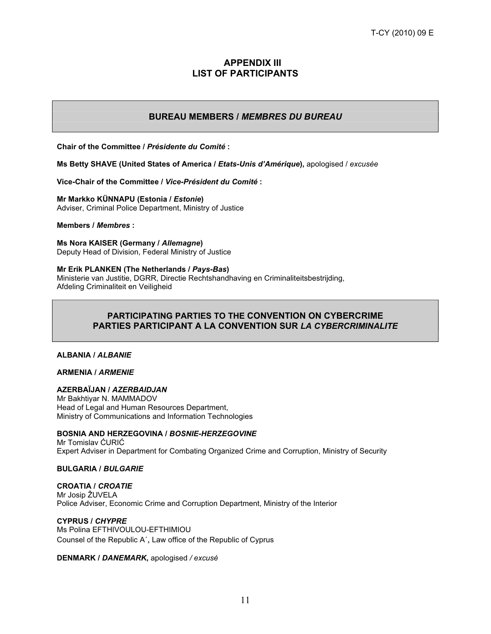## **APPENDIX III LIST OF PARTICIPANTS**

# **BUREAU MEMBERS /** *MEMBRES DU BUREAU*

**Chair of the Committee /** *Présidente du Comité* **:**

**Ms Betty SHAVE (United States of America /** *Etats-Unis d'Amérique***),** apologised / *excusée*

**Vice-Chair of the Committee /** *Vice-Président du Comité* **:**

**Mr Markko KÜNNAPU (Estonia /** *Estonie***)**

Adviser, Criminal Police Department, Ministry of Justice

**Members /** *Membres* **:**

#### **Ms Nora KAISER (Germany /** *Allemagne***)**

Deputy Head of Division, Federal Ministry of Justice

### **Mr Erik PLANKEN (The Netherlands /** *Pays-Bas***)**

Ministerie van Justitie, DGRR, Directie Rechtshandhaving en Criminaliteitsbestrijding, Afdeling Criminaliteit en Veiligheid

## **PARTICIPATING PARTIES TO THE CONVENTION ON CYBERCRIME PARTIES PARTICIPANT A LA CONVENTION SUR** *LA CYBERCRIMINALITE*

### **ALBANIA /** *ALBANIE*

### **ARMENIA /** *ARMENIE*

#### **AZERBAÏJAN /** *AZERBAIDJAN*

Mr Bakhtiyar N. MAMMADOV Head of Legal and Human Resources Department, Ministry of Communications and Information Technologies

### **BOSNIA AND HERZEGOVINA /** *BOSNIE-HERZEGOVINE*

Mr Tomislav ĆURIĆ Expert Adviser in Department for Combating Organized Crime and Corruption, Ministry of Security

### **BULGARIA /** *BULGARIE*

**CROATIA /** *CROATIE* Mr Josip ŽUVELA Police Adviser, Economic Crime and Corruption Department, Ministry of the Interior

### **CYPRUS /** *CHYPRE*

Ms Polina EFTHIVOULOU-EFTHIMIOU Counsel of the Republic A´, Law office of the Republic of Cyprus

**DENMARK /** *DANEMARK***,** apologised */ excusé*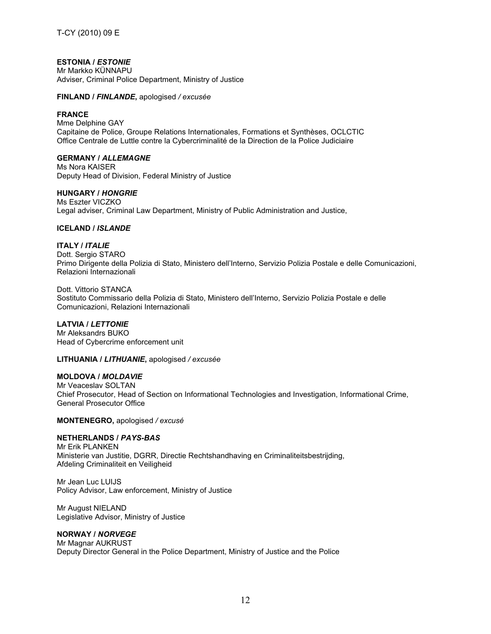## **ESTONIA /** *ESTONIE*

Mr Markko KÜNNAPU Adviser, Criminal Police Department, Ministry of Justice

#### **FINLAND /** *FINLANDE***,** apologised */ excusée*

### **FRANCE**

Mme Delphine GAY Capitaine de Police, Groupe Relations Internationales, Formations et Synthèses, OCLCTIC Office Centrale de Luttle contre la Cybercriminalité de la Direction de la Police Judiciaire

#### **GERMANY /** *ALLEMAGNE*

Ms Nora KAISER Deputy Head of Division, Federal Ministry of Justice

#### **HUNGARY /** *HONGRIE*

Ms Eszter VICZKO Legal adviser, Criminal Law Department, Ministry of Public Administration and Justice,

#### **ICELAND /** *ISLANDE*

#### **ITALY /** *ITALIE*

Dott. Sergio STARO Primo Dirigente della Polizia di Stato, Ministero dell'Interno, Servizio Polizia Postale e delle Comunicazioni, Relazioni Internazionali

Dott. Vittorio STANCA Sostituto Commissario della Polizia di Stato, Ministero dell'Interno, Servizio Polizia Postale e delle Comunicazioni, Relazioni Internazionali

### **LATVIA /** *LETTONIE*

Mr Aleksandrs BUKO Head of Cybercrime enforcement unit

**LITHUANIA /** *LITHUANIE***,** apologised */ excusée*

## **MOLDOVA /** *MOLDAVIE*

Mr Veaceslav SOLTAN Chief Prosecutor, Head of Section on Informational Technologies and Investigation, Informational Crime, General Prosecutor Office

**MONTENEGRO,** apologised */ excusé*

## **NETHERLANDS /** *PAYS-BAS*

Mr Erik PLANKEN Ministerie van Justitie, DGRR, Directie Rechtshandhaving en Criminaliteitsbestrijding, Afdeling Criminaliteit en Veiligheid

Mr Jean Luc LUIJS Policy Advisor, Law enforcement, Ministry of Justice

Mr August NIELAND Legislative Advisor, Ministry of Justice

## **NORWAY /** *NORVEGE*

Mr Magnar AUKRUST Deputy Director General in the Police Department, Ministry of Justice and the Police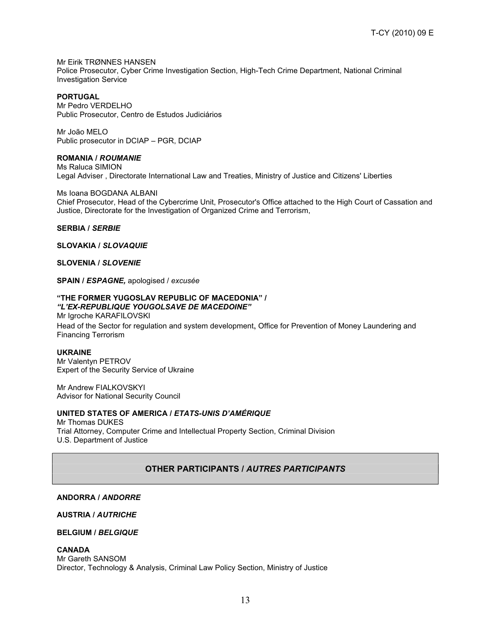Mr Eirik TRØNNES HANSEN Police Prosecutor, Cyber Crime Investigation Section, High-Tech Crime Department, National Criminal Investigation Service

#### **PORTUGAL**

Mr Pedro VERDELHO Public Prosecutor, Centro de Estudos Judiciários

Mr João MELO Public prosecutor in DCIAP – PGR, DCIAP

## **ROMANIA /** *ROUMANIE*

Ms Raluca SIMION Legal Adviser , Directorate International Law and Treaties, Ministry of Justice and Citizens' Liberties

Ms Ioana BOGDANA ALBANI Chief Prosecutor, Head of the Cybercrime Unit, Prosecutor's Office attached to the High Court of Cassation and Justice, Directorate for the Investigation of Organized Crime and Terrorism,

#### **SERBIA /** *SERBIE*

#### **SLOVAKIA /** *SLOVAQUIE*

**SLOVENIA /** *SLOVENIE*

**SPAIN /** *ESPAGNE,* apologised / *excusée*

## **"THE FORMER YUGOSLAV REPUBLIC OF MACEDONIA" /**

*"L'EX-REPUBLIQUE YOUGOLSAVE DE MACEDOINE"* Mr Igroche KARAFILOVSKI Head of the Sector for regulation and system development, Office for Prevention of Money Laundering and Financing Terrorism

#### **UKRAINE**

Mr Valentyn PETROV Expert of the Security Service of Ukraine

Mr Andrew FIALKOVSKYI Advisor for National Security Council

### **UNITED STATES OF AMERICA /** *ETATS-UNIS D'AMÉRIQUE*

Mr Thomas DUKES Trial Attorney, Computer Crime and Intellectual Property Section, Criminal Division U.S. Department of Justice

## **OTHER PARTICIPANTS /** *AUTRES PARTICIPANTS*

### **ANDORRA /** *ANDORRE*

### **AUSTRIA /** *AUTRICHE*

#### **BELGIUM /** *BELGIQUE*

**CANADA**

Mr Gareth SANSOM Director, Technology & Analysis, Criminal Law Policy Section, Ministry of Justice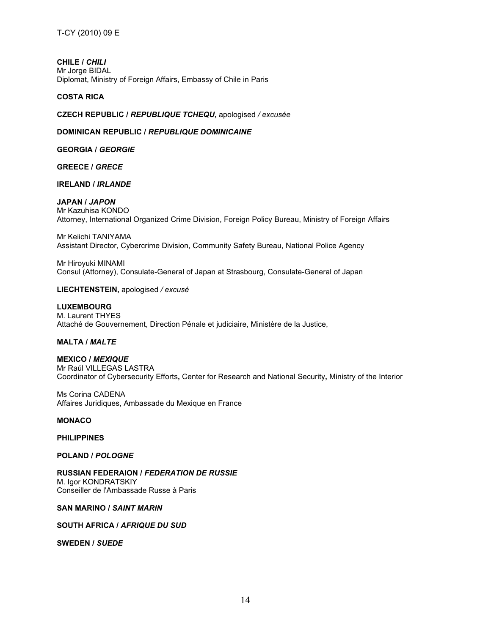**CHILE /** *CHILI* Mr Jorge BIDAL Diplomat, Ministry of Foreign Affairs, Embassy of Chile in Paris

### **COSTA RICA**

**CZECH REPUBLIC /** *REPUBLIQUE TCHEQU***,** apologised */ excusée*

#### **DOMINICAN REPUBLIC /** *REPUBLIQUE DOMINICAINE*

**GEORGIA /** *GEORGIE*

**GREECE /** *GRECE*

**IRELAND /** *IRLANDE*

#### **JAPAN /** *JAPON*

Mr Kazuhisa KONDO Attorney, International Organized Crime Division, Foreign Policy Bureau, Ministry of Foreign Affairs

Mr Keiichi TANIYAMA Assistant Director, Cybercrime Division, Community Safety Bureau, National Police Agency

Mr Hiroyuki MINAMI Consul (Attorney), Consulate-General of Japan at Strasbourg, Consulate-General of Japan

**LIECHTENSTEIN,** apologised */ excusé*

### **LUXEMBOURG**

M. Laurent THYES Attaché de Gouvernement, Direction Pénale et judiciaire, Ministère de la Justice,

### **MALTA /** *MALTE*

**MEXICO /** *MEXIQUE* Mr Raúl VILLEGAS LASTRA Coordinator of Cybersecurity Efforts**,** Center for Research and National Security**,** Ministry of the Interior

Ms Corina CADENA Affaires Juridiques, Ambassade du Mexique en France

#### **MONACO**

#### **PHILIPPINES**

#### **POLAND /** *POLOGNE*

**RUSSIAN FEDERAION /** *FEDERATION DE RUSSIE* M. Igor KONDRATSKIY Conseiller de <sup>l</sup>'Ambassade Russe <sup>à</sup> Paris

### **SAN MARINO /** *SAINT MARIN*

#### **SOUTH AFRICA /** *AFRIQUE DU SUD*

**SWEDEN /** *SUEDE*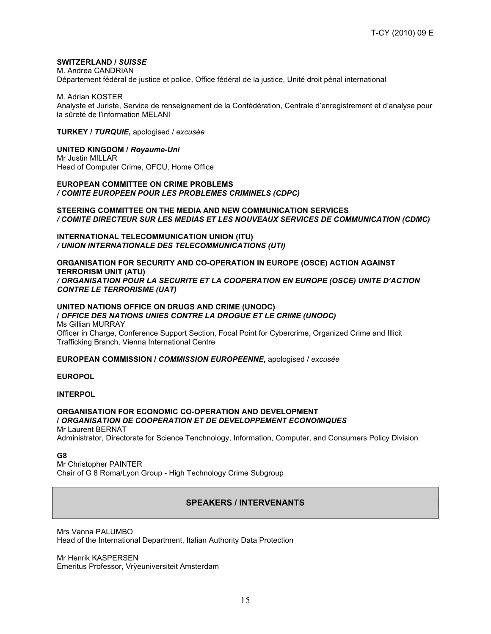### **SWITZERLAND /** *SUISSE*

M. Andrea CANDRIAN

Département fédéral de justice et police, Office fédéral de la justice, Unité droit pénal international

M. Adrian KOSTER

Analyste et Juriste, Service de renseignement de la Confédération, Centrale d'enregistrement et d'analyse pour la sûreté de l'information MELANI

**TURKEY /** *TURQUIE***,** apologised / *excusée*

#### **UNITED KINGDOM /** *Royaume-Uni*

Mr Justin MILLAR Head of Computer Crime, OFCU, Home Office

#### **EUROPEAN COMMITTEE ON CRIME PROBLEMS** */ COMITE EUROPEEN POUR LES PROBLEMES CRIMINELS (CDPC)*

#### **STEERING COMMITTEE ON THE MEDIA AND NEW COMMUNICATION SERVICES** */ COMITE DIRECTEUR SUR LES MEDIAS ET LES NOUVEAUX SERVICES DE COMMUNICATION (CDMC)*

**INTERNATIONAL TELECOMMUNICATION UNION (ITU)** */ UNION INTERNATIONALE DES TELECOMMUNICATIONS (UTI)*

#### **ORGANISATION FOR SECURITY AND CO-OPERATION IN EUROPE (OSCE) ACTION AGAINST TERRORISM UNIT (ATU)** */ ORGANISATION POUR LA SECURITE ET LA COOPERATION EN EUROPE (OSCE) UNITE D'ACTION CONTRE LE TERRORISME (UAT)*

#### **UNITED NATIONS OFFICE ON DRUGS AND CRIME (UNODC) /** *OFFICE DES NATIONS UNIES CONTRE LA DROGUE ET LE CRIME (UNODC)*

Ms Gillian MURRAY Officer in Charge, Conference Support Section, Focal Point for Cybercrime, Organized Crime and Illicit Trafficking Branch, Vienna International Centre

### **EUROPEAN COMMISSION /** *COMMISSION EUROPEENNE,* apologised / *excusée*

#### **EUROPOL**

#### **INTERPOL**

### **ORGANISATION FOR ECONOMIC CO-OPERATION AND DEVELOPMENT /** *ORGANISATION DE COOPERATION ET DE DEVELOPPEMENT ECONOMIQUES* Mr Laurent BERNAT

Administrator, Directorate for Science Tenchnology, Information, Computer, and Consumers Policy Division

#### **G8**

Mr Christopher PAINTER Chair of G 8 Roma/Lyon Group - High Technology Crime Subgroup

## **SPEAKERS / INTERVENANTS**

Mrs Vanna PALUMBO Head of the International Department, Italian Authority Data Protection

Mr Henrik KASPERSEN Emeritus Professor, Vrÿeuniversiteit Amsterdam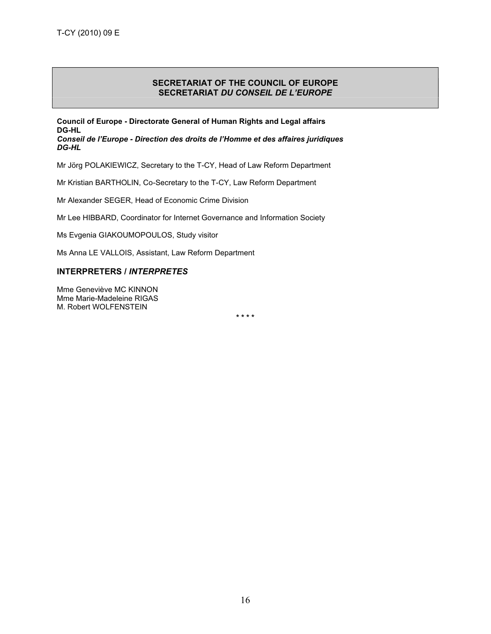## **SECRETARIAT OF THE COUNCIL OF EUROPE SECRETARIAT** *DU CONSEIL DE L'EUROPE*

**Council of Europe - Directorate General of Human Rights and Legal affairs DG-HL** *Conseil de l'Europe - Direction des droits de l'Homme et des affaires juridiques DG-HL*

Mr Jörg POLAKIEWICZ, Secretary to the T-CY, Head of Law Reform Department

Mr Kristian BARTHOLIN, Co-Secretary to the T-CY, Law Reform Department

Mr Alexander SEGER, Head of Economic Crime Division

Mr Lee HIBBARD, Coordinator for Internet Governance and Information Society

Ms Evgenia GIAKOUMOPOULOS, Study visitor

Ms Anna LE VALLOIS, Assistant, Law Reform Department

### **INTERPRETERS /** *INTERPRETES*

Mme Geneviève MC KINNON Mme Marie-Madeleine RIGAS M. Robert WOLFENSTEIN

**\* \* \* \***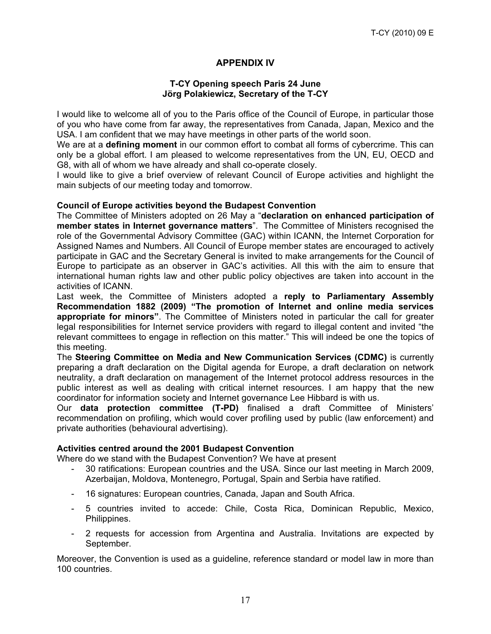# **APPENDIX IV**

## **T-CY Opening speech Paris 24 June Jörg Polakiewicz, Secretary of the T-CY**

I would like to welcome all of you to the Paris office of the Council of Europe, in particular those of you who have come from far away, the representatives from Canada, Japan, Mexico and the USA. I am confident that we may have meetings in other parts of the world soon.

We are at a **defining moment** in our common effort to combat all forms of cybercrime. This can only be a global effort. I am pleased to welcome representatives from the UN, EU, OECD and G8, with all of whom we have already and shall co-operate closely.

I would like to give a brief overview of relevant Council of Europe activities and highlight the main subjects of our meeting today and tomorrow.

## **Council of Europe activities beyond the Budapest Convention**

The Committee of Ministers adopted on 26 May a "**declaration on enhanced participation of member states in Internet governance matters**". The Committee of Ministers recognised the role of the Governmental Advisory Committee (GAC) within ICANN, the Internet Corporation for Assigned Names and Numbers. All Council of Europe member states are encouraged to actively participate in GAC and the Secretary General is invited to make arrangements for the Council of Europe to participate as an observer in GAC's activities. All this with the aim to ensure that international human rights law and other public policy objectives are taken into account in the activities of ICANN.

Last week, the Committee of Ministers adopted a **reply to Parliamentary Assembly Recommendation 1882 (2009) "The promotion of Internet and online media services appropriate for minors"**. The Committee of Ministers noted in particular the call for greater legal responsibilities for Internet service providers with regard to illegal content and invited "the relevant committees to engage in reflection on this matter." This will indeed be one the topics of this meeting.

The **Steering Committee on Media and New Communication Services (CDMC)** is currently preparing a draft declaration on the Digital agenda for Europe, a draft declaration on network neutrality, a draft declaration on management of the Internet protocol address resources in the public interest as well as dealing with critical internet resources. I am happy that the new coordinator for information society and Internet governance Lee Hibbard is with us.

Our **data protection committee (T-PD)** finalised a draft Committee of Ministers' recommendation on profiling, which would cover profiling used by public (law enforcement) and private authorities (behavioural advertising).

## **Activities centred around the 2001 Budapest Convention**

Where do we stand with the Budapest Convention? We have at present

- 30 ratifications: European countries and the USA. Since our last meeting in March 2009, Azerbaijan, Moldova, Montenegro, Portugal, Spain and Serbia have ratified.
- 16 signatures: European countries, Canada, Japan and South Africa.
- 5 countries invited to accede: Chile, Costa Rica, Dominican Republic, Mexico, Philippines.
- 2 requests for accession from Argentina and Australia. Invitations are expected by September.

Moreover, the Convention is used as a guideline, reference standard or model law in more than 100 countries.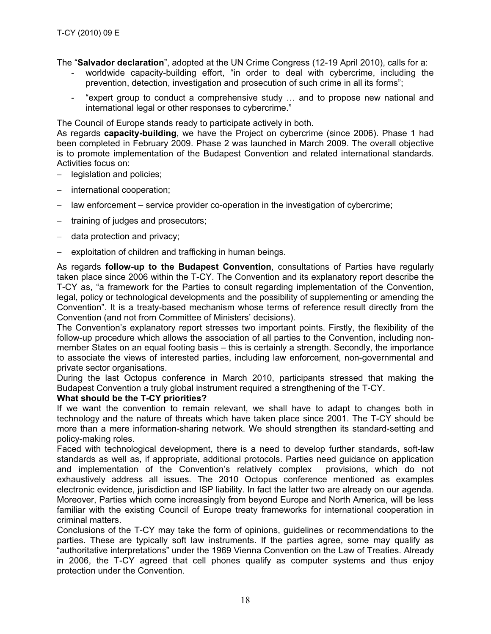The "**Salvador declaration**", adopted at the UN Crime Congress (12-19 April 2010), calls for a:

- worldwide capacity-building effort, "in order to deal with cybercrime, including the prevention, detection, investigation and prosecution of such crime in all its forms";
- "expert group to conduct a comprehensive study … and to propose new national and international legal or other responses to cybercrime."

The Council of Europe stands ready to participate actively in both.

As regards **capacity-building**, we have the Project on cybercrime (since 2006). Phase 1 had been completed in February 2009. Phase 2 was launched in March 2009. The overall objective is to promote implementation of the Budapest Convention and related international standards. Activities focus on:

- − legislation and policies;
- − international cooperation;
- − law enforcement service provider co-operation in the investigation of cybercrime;
- training of judges and prosecutors;
- − data protection and privacy;
- exploitation of children and trafficking in human beings.

As regards **follow-up to the Budapest Convention**, consultations of Parties have regularly taken place since 2006 within the T-CY. The Convention and its explanatory report describe the T-CY as, "a framework for the Parties to consult regarding implementation of the Convention, legal, policy or technological developments and the possibility of supplementing or amending the Convention". It is a treaty-based mechanism whose terms of reference result directly from the Convention (and not from Committee of Ministers' decisions).

The Convention's explanatory report stresses two important points. Firstly, the flexibility of the follow-up procedure which allows the association of all parties to the Convention, including nonmember States on an equal footing basis – this is certainly a strength. Secondly, the importance to associate the views of interested parties, including law enforcement, non-governmental and private sector organisations.

During the last Octopus conference in March 2010, participants stressed that making the Budapest Convention a truly global instrument required a strengthening of the T-CY.

## **What should be the T-CY priorities?**

If we want the convention to remain relevant, we shall have to adapt to changes both in technology and the nature of threats which have taken place since 2001. The T-CY should be more than a mere information-sharing network. We should strengthen its standard-setting and policy-making roles.

Faced with technological development, there is a need to develop further standards, soft-law standards as well as, if appropriate, additional protocols. Parties need guidance on application and implementation of the Convention's relatively complex provisions, which do not exhaustively address all issues. The 2010 Octopus conference mentioned as examples electronic evidence, jurisdiction and ISP liability. In fact the latter two are already on our agenda. Moreover, Parties which come increasingly from beyond Europe and North America, will be less familiar with the existing Council of Europe treaty frameworks for international cooperation in criminal matters.

Conclusions of the T-CY may take the form of opinions, guidelines or recommendations to the parties. These are typically soft law instruments. If the parties agree, some may qualify as "authoritative interpretations" under the 1969 Vienna Convention on the Law of Treaties. Already in 2006, the T-CY agreed that cell phones qualify as computer systems and thus enjoy protection under the Convention.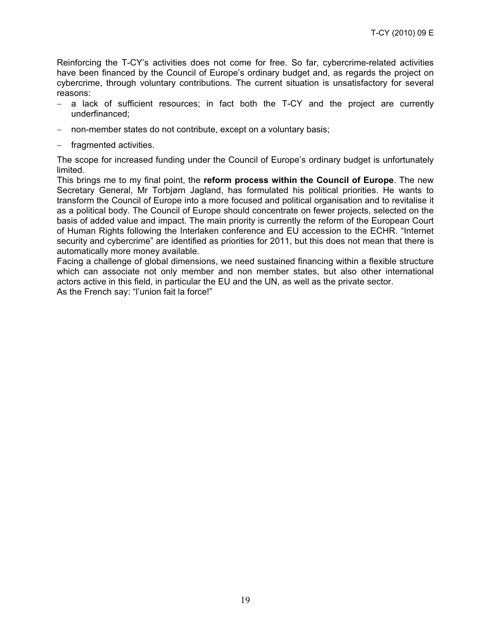Reinforcing the T-CY's activities does not come for free. So far, cybercrime-related activities have been financed by the Council of Europe's ordinary budget and, as regards the project on cybercrime, through voluntary contributions. The current situation is unsatisfactory for several reasons:

- − a lack of sufficient resources; in fact both the T-CY and the project are currently underfinanced;
- non-member states do not contribute, except on a voluntary basis;
- − fragmented activities.

The scope for increased funding under the Council of Europe's ordinary budget is unfortunately limited.

This brings me to my final point, the **reform process within the Council of Europe**. The new Secretary General, Mr Torbjørn Jagland, has formulated his political priorities. He wants to transform the Council of Europe into a more focused and political organisation and to revitalise it as a political body. The Council of Europe should concentrate on fewer projects, selected on the basis of added value and impact. The main priority is currently the reform of the European Court of Human Rights following the Interlaken conference and EU accession to the ECHR. "Internet security and cybercrime" are identified as priorities for 2011, but this does not mean that there is automatically more money available.

Facing a challenge of global dimensions, we need sustained financing within a flexible structure which can associate not only member and non member states, but also other international actors active in this field, in particular the EU and the UN, as well as the private sector. As the French say: "l'union fait la force!"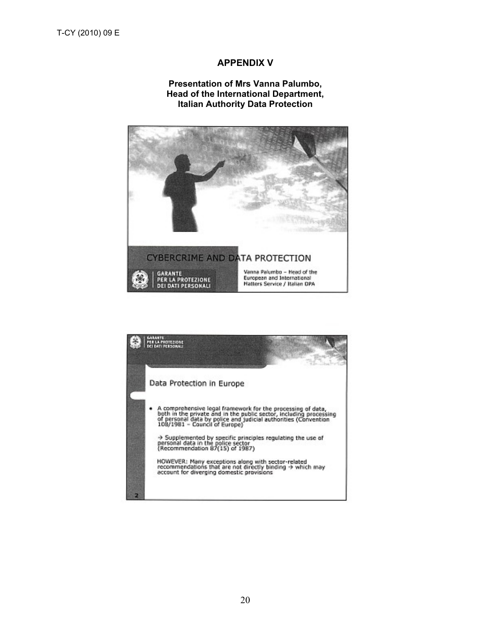# **APPENDIX V**

## **Presentation of Mrs Vanna Palumbo, Head of the International Department, Italian Authority Data Protection**



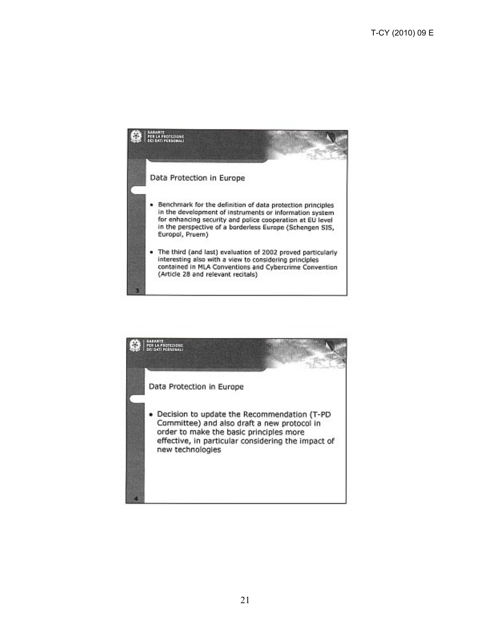

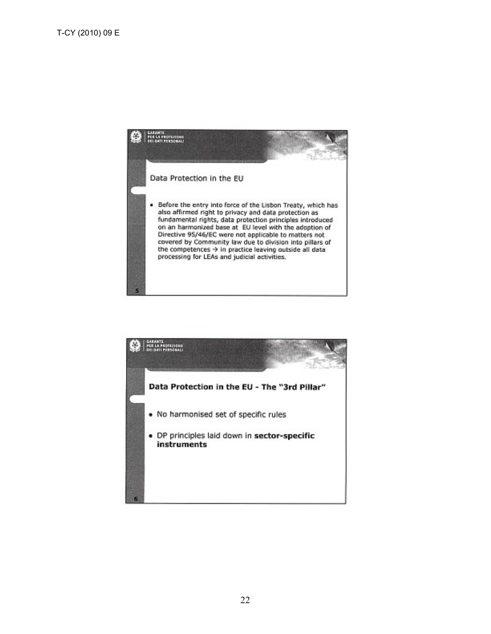

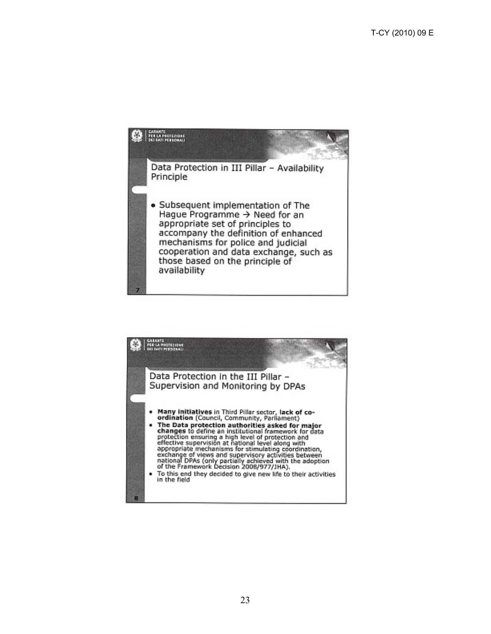

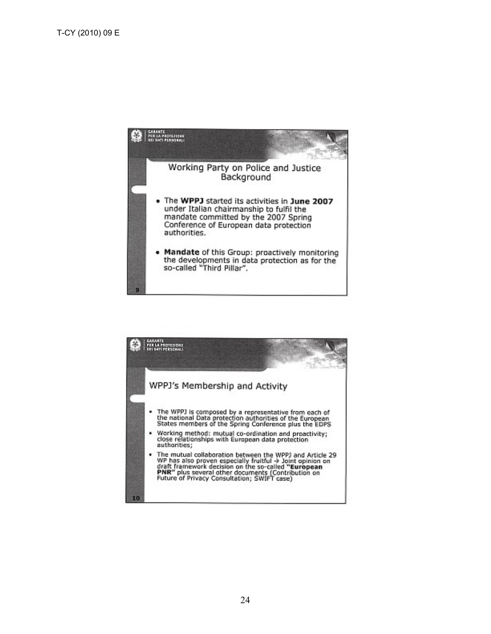

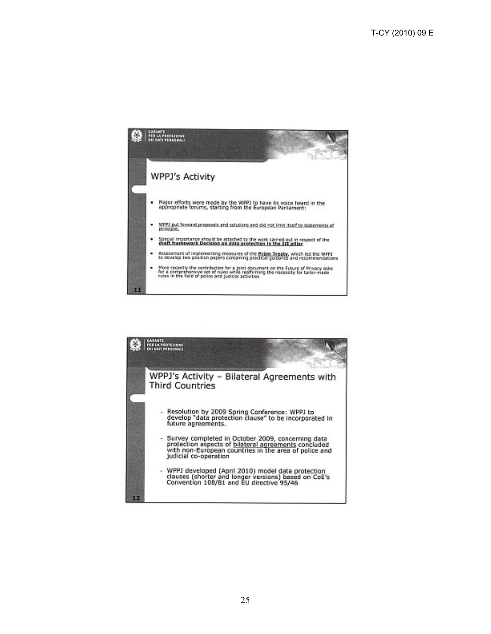

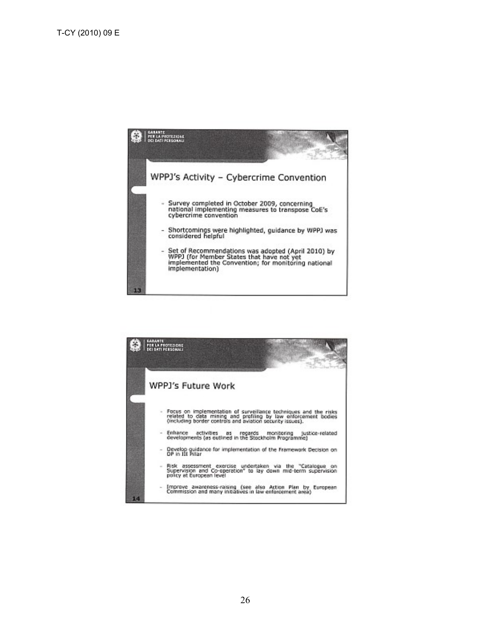

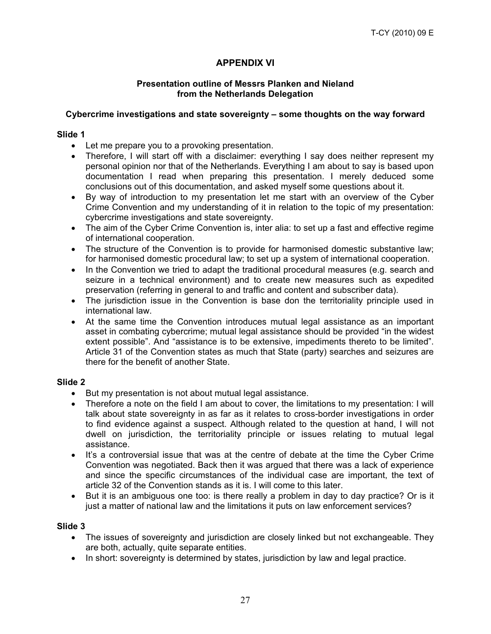# **APPENDIX VI**

## **Presentation outline of Messrs Planken and Nieland from the Netherlands Delegation**

## **Cybercrime investigations and state sovereignty – some thoughts on the way forward**

## **Slide 1**

- Let me prepare you to a provoking presentation.
- Therefore, I will start off with a disclaimer: everything I say does neither represent my personal opinion nor that of the Netherlands. Everything I am about to say is based upon documentation I read when preparing this presentation. I merely deduced some conclusions out of this documentation, and asked myself some questions about it.
- By way of introduction to my presentation let me start with an overview of the Cyber Crime Convention and my understanding of it in relation to the topic of my presentation: cybercrime investigations and state sovereignty.
- The aim of the Cyber Crime Convention is, inter alia: to set up a fast and effective regime of international cooperation.
- The structure of the Convention is to provide for harmonised domestic substantive law; for harmonised domestic procedural law; to set up a system of international cooperation.
- In the Convention we tried to adapt the traditional procedural measures (e.g. search and seizure in a technical environment) and to create new measures such as expedited preservation (referring in general to and traffic and content and subscriber data).
- The jurisdiction issue in the Convention is base don the territoriality principle used in international law.
- At the same time the Convention introduces mutual legal assistance as an important asset in combating cybercrime; mutual legal assistance should be provided "in the widest extent possible". And "assistance is to be extensive, impediments thereto to be limited". Article 31 of the Convention states as much that State (party) searches and seizures are there for the benefit of another State.

## **Slide 2**

- But my presentation is not about mutual legal assistance.
- Therefore a note on the field I am about to cover, the limitations to my presentation: I will talk about state sovereignty in as far as it relates to cross-border investigations in order to find evidence against a suspect. Although related to the question at hand, I will not dwell on jurisdiction, the territoriality principle or issues relating to mutual legal assistance.
- It's a controversial issue that was at the centre of debate at the time the Cyber Crime Convention was negotiated. Back then it was argued that there was a lack of experience and since the specific circumstances of the individual case are important, the text of article 32 of the Convention stands as it is. I will come to this later.
- But it is an ambiguous one too: is there really a problem in day to day practice? Or is it just a matter of national law and the limitations it puts on law enforcement services?

## **Slide 3**

- The issues of sovereignty and jurisdiction are closely linked but not exchangeable. They are both, actually, quite separate entities.
- In short: sovereignty is determined by states, jurisdiction by law and legal practice.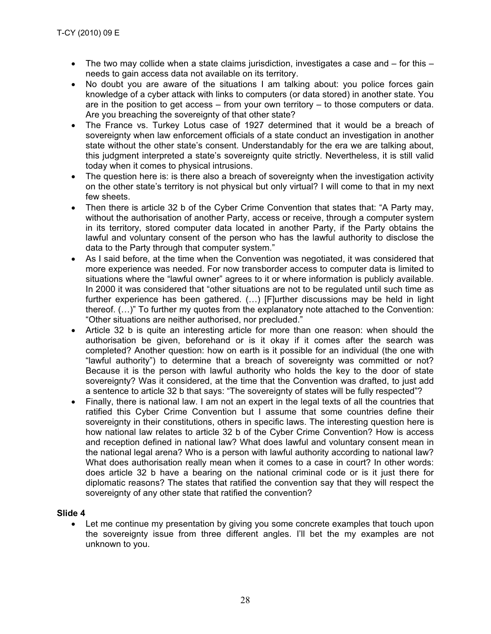- The two may collide when a state claims jurisdiction, investigates a case and  $-$  for this  $$ needs to gain access data not available on its territory.
- No doubt you are aware of the situations I am talking about: you police forces gain knowledge of a cyber attack with links to computers (or data stored) in another state. You are in the position to get access – from your own territory – to those computers or data. Are you breaching the sovereignty of that other state?
- The France vs. Turkey Lotus case of 1927 determined that it would be a breach of sovereignty when law enforcement officials of a state conduct an investigation in another state without the other state's consent. Understandably for the era we are talking about, this judgment interpreted a state's sovereignty quite strictly. Nevertheless, it is still valid today when it comes to physical intrusions.
- The question here is: is there also a breach of sovereignty when the investigation activity on the other state's territory is not physical but only virtual? I will come to that in my next few sheets.
- Then there is article 32 b of the Cyber Crime Convention that states that: "A Party may, without the authorisation of another Party, access or receive, through a computer system in its territory, stored computer data located in another Party, if the Party obtains the lawful and voluntary consent of the person who has the lawful authority to disclose the data to the Party through that computer system."
- As I said before, at the time when the Convention was negotiated, it was considered that more experience was needed. For now transborder access to computer data is limited to situations where the "lawful owner" agrees to it or where information is publicly available. In 2000 it was considered that "other situations are not to be regulated until such time as further experience has been gathered. (…) [F]urther discussions may be held in light thereof. (…)" To further my quotes from the explanatory note attached to the Convention: "Other situations are neither authorised, nor precluded."
- Article 32 b is quite an interesting article for more than one reason: when should the authorisation be given, beforehand or is it okay if it comes after the search was completed? Another question: how on earth is it possible for an individual (the one with "lawful authority") to determine that a breach of sovereignty was committed or not? Because it is the person with lawful authority who holds the key to the door of state sovereignty? Was it considered, at the time that the Convention was drafted, to just add a sentence to article 32 b that says: "The sovereignty of states will be fully respected"?
- Finally, there is national law. I am not an expert in the legal texts of all the countries that ratified this Cyber Crime Convention but I assume that some countries define their sovereignty in their constitutions, others in specific laws. The interesting question here is how national law relates to article 32 b of the Cyber Crime Convention? How is access and reception defined in national law? What does lawful and voluntary consent mean in the national legal arena? Who is a person with lawful authority according to national law? What does authorisation really mean when it comes to a case in court? In other words: does article 32 b have a bearing on the national criminal code or is it just there for diplomatic reasons? The states that ratified the convention say that they will respect the sovereignty of any other state that ratified the convention?

## **Slide 4**

Let me continue my presentation by giving you some concrete examples that touch upon the sovereignty issue from three different angles. I'll bet the my examples are not unknown to you.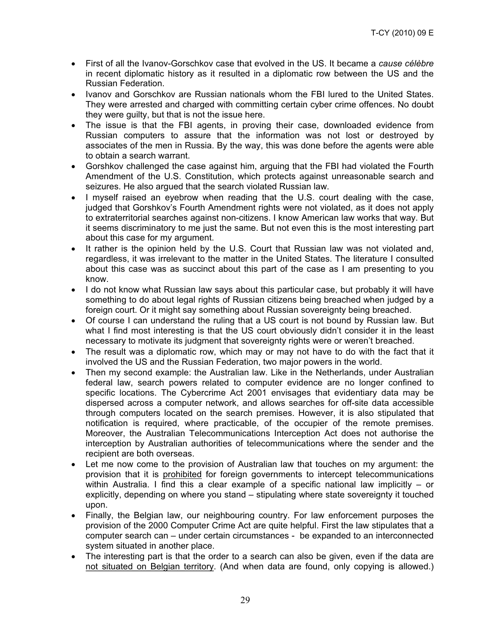- First of all the Ivanov-Gorschkov case that evolved in the US. It became a *cause célèbre* in recent diplomatic history as it resulted in a diplomatic row between the US and the Russian Federation.
- Ivanov and Gorschkov are Russian nationals whom the FBI lured to the United States. They were arrested and charged with committing certain cyber crime offences. No doubt they were guilty, but that is not the issue here.
- The issue is that the FBI agents, in proving their case, downloaded evidence from Russian computers to assure that the information was not lost or destroyed by associates of the men in Russia. By the way, this was done before the agents were able to obtain a search warrant.
- Gorshkov challenged the case against him, arguing that the FBI had violated the Fourth Amendment of the U.S. Constitution, which protects against unreasonable search and seizures. He also argued that the search violated Russian law.
- I myself raised an eyebrow when reading that the U.S. court dealing with the case, judged that Gorshkov's Fourth Amendment rights were not violated, as it does not apply to extraterritorial searches against non-citizens. I know American law works that way. But it seems discriminatory to me just the same. But not even this is the most interesting part about this case for my argument.
- It rather is the opinion held by the U.S. Court that Russian law was not violated and, regardless, it was irrelevant to the matter in the United States. The literature I consulted about this case was as succinct about this part of the case as I am presenting to you know.
- I do not know what Russian law says about this particular case, but probably it will have something to do about legal rights of Russian citizens being breached when judged by a foreign court. Or it might say something about Russian sovereignty being breached.
- Of course I can understand the ruling that a US court is not bound by Russian law. But what I find most interesting is that the US court obviously didn't consider it in the least necessary to motivate its judgment that sovereignty rights were or weren't breached.
- The result was a diplomatic row, which may or may not have to do with the fact that it involved the US and the Russian Federation, two major powers in the world.
- Then my second example: the Australian law. Like in the Netherlands, under Australian federal law, search powers related to computer evidence are no longer confined to specific locations. The Cybercrime Act 2001 envisages that evidentiary data may be dispersed across a computer network, and allows searches for off-site data accessible through computers located on the search premises. However, it is also stipulated that notification is required, where practicable, of the occupier of the remote premises. Moreover, the Australian Telecommunications Interception Act does not authorise the interception by Australian authorities of telecommunications where the sender and the recipient are both overseas.
- Let me now come to the provision of Australian law that touches on my argument: the provision that it is prohibited for foreign governments to intercept telecommunications within Australia. I find this a clear example of a specific national law implicitly – or explicitly, depending on where you stand – stipulating where state sovereignty it touched upon.
- Finally, the Belgian law, our neighbouring country. For law enforcement purposes the provision of the 2000 Computer Crime Act are quite helpful. First the law stipulates that a computer search can – under certain circumstances - be expanded to an interconnected system situated in another place.
- The interesting part is that the order to a search can also be given, even if the data are not situated on Belgian territory. (And when data are found, only copying is allowed.)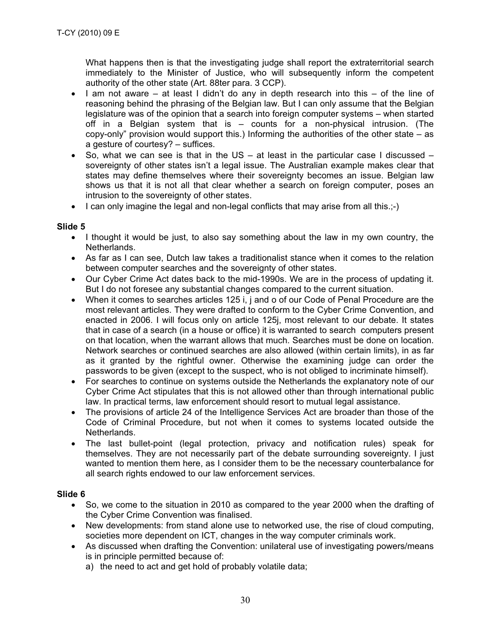What happens then is that the investigating judge shall report the extraterritorial search immediately to the Minister of Justice, who will subsequently inform the competent authority of the other state (Art. 88ter para. 3 CCP).

- I am not aware at least I didn't do any in depth research into this of the line of reasoning behind the phrasing of the Belgian law. But I can only assume that the Belgian legislature was of the opinion that a search into foreign computer systems – when started off in a Belgian system that is – counts for a non-physical intrusion. (The copy-only" provision would support this.) Informing the authorities of the other state – as a gesture of courtesy? – suffices.
- So, what we can see is that in the US at least in the particular case I discussed sovereignty of other states isn't a legal issue. The Australian example makes clear that states may define themselves where their sovereignty becomes an issue. Belgian law shows us that it is not all that clear whether a search on foreign computer, poses an intrusion to the sovereignty of other states.
- I can only imagine the legal and non-legal conflicts that may arise from all this.;-)

## **Slide 5**

- I thought it would be just, to also say something about the law in my own country, the Netherlands.
- As far as I can see, Dutch law takes a traditionalist stance when it comes to the relation between computer searches and the sovereignty of other states.
- Our Cyber Crime Act dates back to the mid-1990s. We are in the process of updating it. But I do not foresee any substantial changes compared to the current situation.
- When it comes to searches articles 125 i, j and o of our Code of Penal Procedure are the most relevant articles. They were drafted to conform to the Cyber Crime Convention, and enacted in 2006. I will focus only on article 125j, most relevant to our debate. It states that in case of a search (in a house or office) it is warranted to search computers present on that location, when the warrant allows that much. Searches must be done on location. Network searches or continued searches are also allowed (within certain limits), in as far as it granted by the rightful owner. Otherwise the examining judge can order the passwords to be given (except to the suspect, who is not obliged to incriminate himself).
- For searches to continue on systems outside the Netherlands the explanatory note of our Cyber Crime Act stipulates that this is not allowed other than through international public law. In practical terms, law enforcement should resort to mutual legal assistance.
- The provisions of article 24 of the Intelligence Services Act are broader than those of the Code of Criminal Procedure, but not when it comes to systems located outside the Netherlands.
- The last bullet-point (legal protection, privacy and notification rules) speak for themselves. They are not necessarily part of the debate surrounding sovereignty. I just wanted to mention them here, as I consider them to be the necessary counterbalance for all search rights endowed to our law enforcement services.

## **Slide 6**

- So, we come to the situation in 2010 as compared to the year 2000 when the drafting of the Cyber Crime Convention was finalised.
- New developments: from stand alone use to networked use, the rise of cloud computing, societies more dependent on ICT, changes in the way computer criminals work.
- As discussed when drafting the Convention: unilateral use of investigating powers/means is in principle permitted because of:
	- a) the need to act and get hold of probably volatile data;